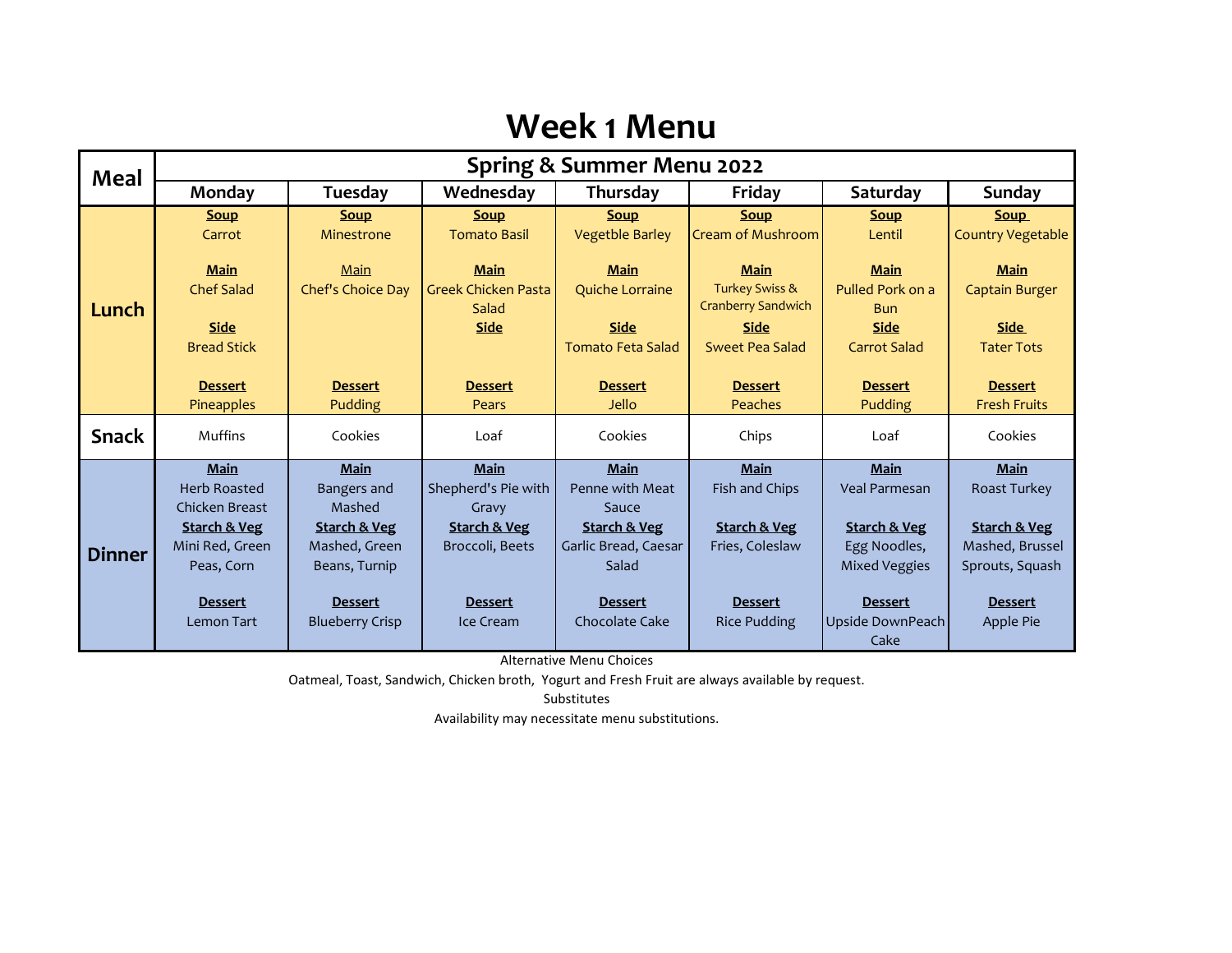### **Week 1 Menu**

| Meal          | <b>Spring &amp; Summer Menu 2022</b>      |                                          |                                     |                                  |                                                        |                                    |                             |  |
|---------------|-------------------------------------------|------------------------------------------|-------------------------------------|----------------------------------|--------------------------------------------------------|------------------------------------|-----------------------------|--|
|               | Monday                                    | Tuesday                                  | Wednesday                           | Thursday                         | Friday                                                 | Saturday                           | <b>Sunday</b>               |  |
|               | <b>Soup</b>                               | <b>Soup</b>                              | <b>Soup</b>                         | <b>Soup</b>                      | <b>Soup</b>                                            | <b>Soup</b>                        | <b>Soup</b>                 |  |
|               | Carrot                                    | Minestrone                               | <b>Tomato Basil</b>                 | <b>Vegetble Barley</b>           | <b>Cream of Mushroom</b>                               | Lentil                             | <b>Country Vegetable</b>    |  |
|               | <b>Main</b>                               | Main                                     | <b>Main</b>                         | <b>Main</b>                      | <b>Main</b>                                            | <b>Main</b>                        | <b>Main</b>                 |  |
| Lunch         | <b>Chef Salad</b>                         | Chef's Choice Day                        | <b>Greek Chicken Pasta</b><br>Salad | Quiche Lorraine                  | <b>Turkey Swiss &amp;</b><br><b>Cranberry Sandwich</b> | Pulled Pork on a<br><b>Bun</b>     | <b>Captain Burger</b>       |  |
|               | <b>Side</b>                               |                                          | <b>Side</b>                         | <b>Side</b>                      | <b>Side</b>                                            | <b>Side</b>                        | <b>Side</b>                 |  |
|               | <b>Bread Stick</b>                        |                                          |                                     | <b>Tomato Feta Salad</b>         | Sweet Pea Salad                                        | <b>Carrot Salad</b>                | <b>Tater Tots</b>           |  |
|               | <b>Dessert</b>                            | <b>Dessert</b>                           | <b>Dessert</b>                      | <b>Dessert</b>                   | <b>Dessert</b>                                         | <b>Dessert</b>                     | <b>Dessert</b>              |  |
|               | <b>Pineapples</b>                         | Pudding                                  | Pears                               | Jello                            | Peaches                                                | Pudding                            | <b>Fresh Fruits</b>         |  |
| <b>Snack</b>  | Muffins                                   | Cookies                                  | Loaf                                | Cookies                          | Chips                                                  | Loaf                               | Cookies                     |  |
|               | Main                                      | <b>Main</b>                              | Main                                | <b>Main</b>                      | <b>Main</b>                                            | <b>Main</b>                        | Main                        |  |
|               | <b>Herb Roasted</b>                       | <b>Bangers and</b>                       | Shepherd's Pie with                 | Penne with Meat                  | Fish and Chips                                         | <b>Veal Parmesan</b>               | Roast Turkey                |  |
|               | Chicken Breast<br><b>Starch &amp; Veg</b> | Mashed<br><b>Starch &amp; Veg</b>        | Gravy<br><b>Starch &amp; Veg</b>    | Sauce<br><b>Starch &amp; Veg</b> | <b>Starch &amp; Veg</b>                                | <b>Starch &amp; Veg</b>            | <b>Starch &amp; Veg</b>     |  |
|               | Mini Red, Green                           | Mashed, Green                            | Broccoli, Beets                     | Garlic Bread, Caesar             | Fries, Coleslaw                                        | Egg Noodles,                       | Mashed, Brussel             |  |
| <b>Dinner</b> | Peas, Corn                                | Beans, Turnip                            |                                     | Salad                            |                                                        | <b>Mixed Veggies</b>               | Sprouts, Squash             |  |
|               |                                           |                                          |                                     |                                  |                                                        |                                    |                             |  |
|               | <b>Dessert</b><br><b>Lemon Tart</b>       | <b>Dessert</b><br><b>Blueberry Crisp</b> | <b>Dessert</b><br>Ice Cream         | <b>Dessert</b><br>Chocolate Cake | <b>Dessert</b><br><b>Rice Pudding</b>                  | <b>Dessert</b><br>Upside DownPeach | <b>Dessert</b><br>Apple Pie |  |
|               |                                           |                                          |                                     |                                  |                                                        | Cake                               |                             |  |

Alternative Menu Choices

Oatmeal, Toast, Sandwich, Chicken broth, Yogurt and Fresh Fruit are always available by request.

Substitutes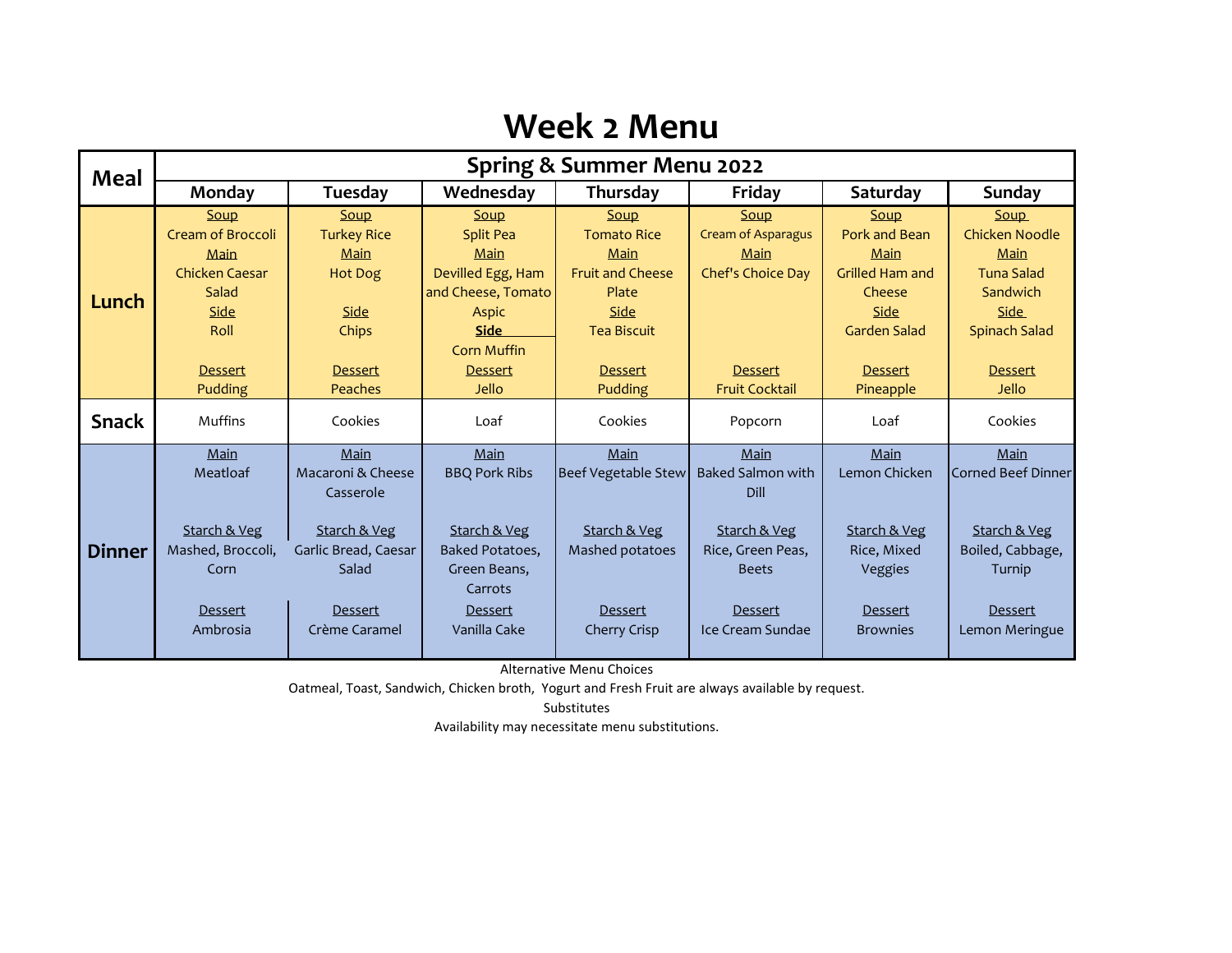### **Week 2 Menu**

| <b>Meal</b>   | Spring & Summer Menu 2022 |                      |                        |                            |                           |                        |                    |  |
|---------------|---------------------------|----------------------|------------------------|----------------------------|---------------------------|------------------------|--------------------|--|
|               | Monday                    | Tuesday              | Wednesday              | Thursday                   | Friday                    | Saturday               | Sunday             |  |
|               | Soup                      | Soup                 | Soup                   | Soup                       | Soup                      | Soup                   | <b>Soup</b>        |  |
|               | <b>Cream of Broccoli</b>  | <b>Turkey Rice</b>   | <b>Split Pea</b>       | <b>Tomato Rice</b>         | <b>Cream of Asparagus</b> | Pork and Bean          | Chicken Noodle     |  |
|               | Main                      | Main                 | Main                   | Main                       | Main                      | Main                   | Main               |  |
|               | Chicken Caesar            | <b>Hot Dog</b>       | Devilled Egg, Ham      | <b>Fruit and Cheese</b>    | Chef's Choice Day         | <b>Grilled Ham and</b> | <b>Tuna Salad</b>  |  |
| Lunch         | Salad                     |                      | and Cheese, Tomato     | Plate                      |                           | Cheese                 | Sandwich           |  |
|               | Side                      | Side                 | <b>Aspic</b>           | Side                       |                           | Side                   | Side               |  |
|               | Roll                      | Chips                | <b>Side</b>            | <b>Tea Biscuit</b>         |                           | <b>Garden Salad</b>    | Spinach Salad      |  |
|               |                           |                      | <b>Corn Muffin</b>     |                            |                           |                        |                    |  |
|               | <b>Dessert</b>            | <b>Dessert</b>       | Dessert                | <b>Dessert</b>             | <b>Dessert</b>            | <b>Dessert</b>         | <b>Dessert</b>     |  |
|               | Pudding                   | Peaches              | Jello                  | Pudding                    | <b>Fruit Cocktail</b>     | Pineapple              | Jello              |  |
| <b>Snack</b>  | Muffins                   | Cookies              | Loaf                   | Cookies                    | Popcorn                   | Loaf                   | Cookies            |  |
|               |                           |                      |                        |                            |                           |                        |                    |  |
|               | Main                      | Main                 | Main                   | Main                       | Main                      | Main                   | Main               |  |
|               | Meatloaf                  | Macaroni & Cheese    | <b>BBQ Pork Ribs</b>   | <b>Beef Vegetable Stew</b> | <b>Baked Salmon with</b>  | Lemon Chicken          | Corned Beef Dinner |  |
| <b>Dinner</b> |                           | Casserole            |                        |                            | Dill                      |                        |                    |  |
|               | Starch & Veg              | Starch & Veg         | Starch & Veg           | Starch & Veg               | Starch & Veg              | Starch & Veg           | Starch & Veg       |  |
|               | Mashed, Broccoli,         | Garlic Bread, Caesar | <b>Baked Potatoes,</b> | Mashed potatoes            | Rice, Green Peas,         | Rice, Mixed            | Boiled, Cabbage,   |  |
|               | Corn                      | Salad                | Green Beans,           |                            | <b>Beets</b>              | Veggies                | Turnip             |  |
|               |                           |                      | Carrots                |                            |                           |                        |                    |  |
|               | <b>Dessert</b>            | Dessert              | Dessert                | <b>Dessert</b>             | Dessert                   | Dessert                | <b>Dessert</b>     |  |
|               | Ambrosia                  | Crème Caramel        | Vanilla Cake           | Cherry Crisp               | Ice Cream Sundae          | <b>Brownies</b>        | Lemon Meringue     |  |
|               |                           |                      |                        |                            |                           |                        |                    |  |

Alternative Menu Choices

Oatmeal, Toast, Sandwich, Chicken broth, Yogurt and Fresh Fruit are always available by request.

Substitutes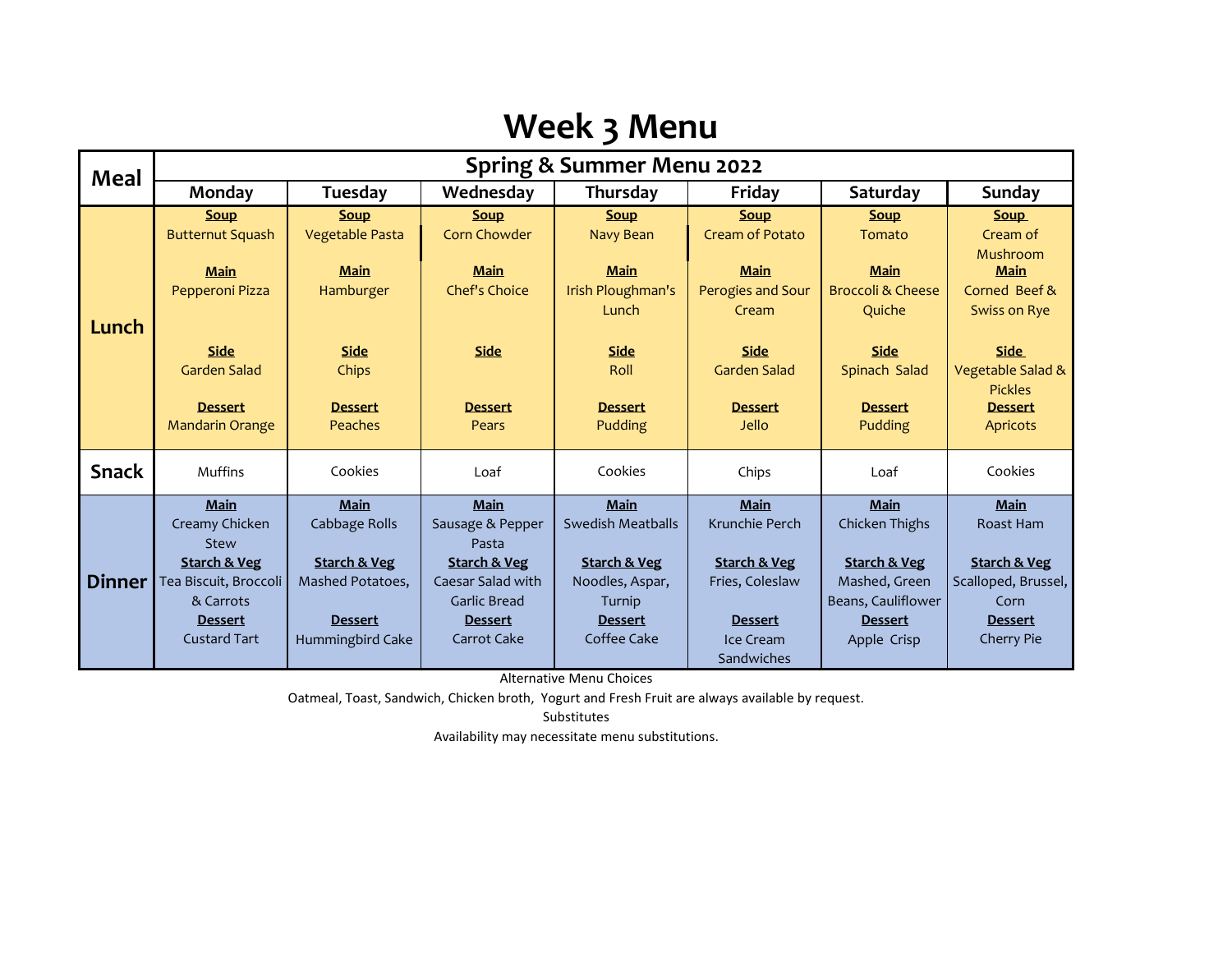## **Week 3 Menu**

| <b>Meal</b>   | Spring & Summer Menu 2022                |                                |                                       |                                           |                                           |                                                       |                                                          |  |  |
|---------------|------------------------------------------|--------------------------------|---------------------------------------|-------------------------------------------|-------------------------------------------|-------------------------------------------------------|----------------------------------------------------------|--|--|
|               | Monday                                   | Tuesday                        | Wednesday                             | Thursday                                  | Friday                                    | Saturday                                              | Sunday                                                   |  |  |
| Lunch         | <b>Soup</b><br><b>Butternut Squash</b>   | <b>Soup</b><br>Vegetable Pasta | <b>Soup</b><br><b>Corn Chowder</b>    | <b>Soup</b><br>Navy Bean                  | <b>Soup</b><br><b>Cream of Potato</b>     | <b>Soup</b><br>Tomato                                 | <b>Soup</b><br>Cream of                                  |  |  |
|               | <b>Main</b><br>Pepperoni Pizza           | <b>Main</b><br>Hamburger       | <b>Main</b><br><b>Chef's Choice</b>   | <b>Main</b><br>Irish Ploughman's<br>Lunch | <b>Main</b><br>Perogies and Sour<br>Cream | <b>Main</b><br><b>Broccoli &amp; Cheese</b><br>Quiche | Mushroom<br><b>Main</b><br>Corned Beef &<br>Swiss on Rye |  |  |
|               | <b>Side</b><br><b>Garden Salad</b>       | <b>Side</b><br>Chips           | <b>Side</b>                           | <b>Side</b><br>Roll                       | <b>Side</b><br><b>Garden Salad</b>        | <b>Side</b><br>Spinach Salad                          | <b>Side</b><br>Vegetable Salad &<br><b>Pickles</b>       |  |  |
|               | <b>Dessert</b><br><b>Mandarin Orange</b> | <b>Dessert</b><br>Peaches      | <b>Dessert</b><br>Pears               | <b>Dessert</b><br>Pudding                 | <b>Dessert</b><br><b>Jello</b>            | <b>Dessert</b><br>Pudding                             | <b>Dessert</b><br><b>Apricots</b>                        |  |  |
| <b>Snack</b>  | Muffins                                  | Cookies                        | Loaf                                  | Cookies                                   | Chips                                     | Loaf                                                  | Cookies                                                  |  |  |
|               | <b>Main</b>                              | <b>Main</b>                    | <b>Main</b>                           | <b>Main</b>                               | <b>Main</b>                               | <b>Main</b>                                           | <b>Main</b>                                              |  |  |
| <b>Dinner</b> | Creamy Chicken                           | Cabbage Rolls                  | Sausage & Pepper                      | Swedish Meatballs                         | Krunchie Perch                            | Chicken Thighs                                        | Roast Ham                                                |  |  |
|               | Stew                                     |                                | Pasta                                 |                                           |                                           |                                                       |                                                          |  |  |
|               | <b>Starch &amp; Veg</b>                  | <b>Starch &amp; Veg</b>        | <b>Starch &amp; Veg</b>               | <b>Starch &amp; Veg</b>                   | <b>Starch &amp; Veg</b>                   | <b>Starch &amp; Veg</b>                               | <b>Starch &amp; Veg</b>                                  |  |  |
|               | Tea Biscuit, Broccoli                    | Mashed Potatoes,               | Caesar Salad with                     | Noodles, Aspar,                           | Fries, Coleslaw                           | Mashed, Green                                         | Scalloped, Brussel,                                      |  |  |
|               | & Carrots<br><b>Dessert</b>              | <b>Dessert</b>                 | <b>Garlic Bread</b><br><b>Dessert</b> | Turnip<br><b>Dessert</b>                  | <b>Dessert</b>                            | Beans, Cauliflower<br><b>Dessert</b>                  | Corn<br><b>Dessert</b>                                   |  |  |
|               | Custard Tart                             | Hummingbird Cake               | Carrot Cake                           | Coffee Cake                               | Ice Cream                                 | Apple Crisp                                           | <b>Cherry Pie</b>                                        |  |  |
|               |                                          |                                |                                       |                                           | <b>Sandwiches</b>                         |                                                       |                                                          |  |  |

Alternative Menu Choices

Oatmeal, Toast, Sandwich, Chicken broth, Yogurt and Fresh Fruit are always available by request.

Substitutes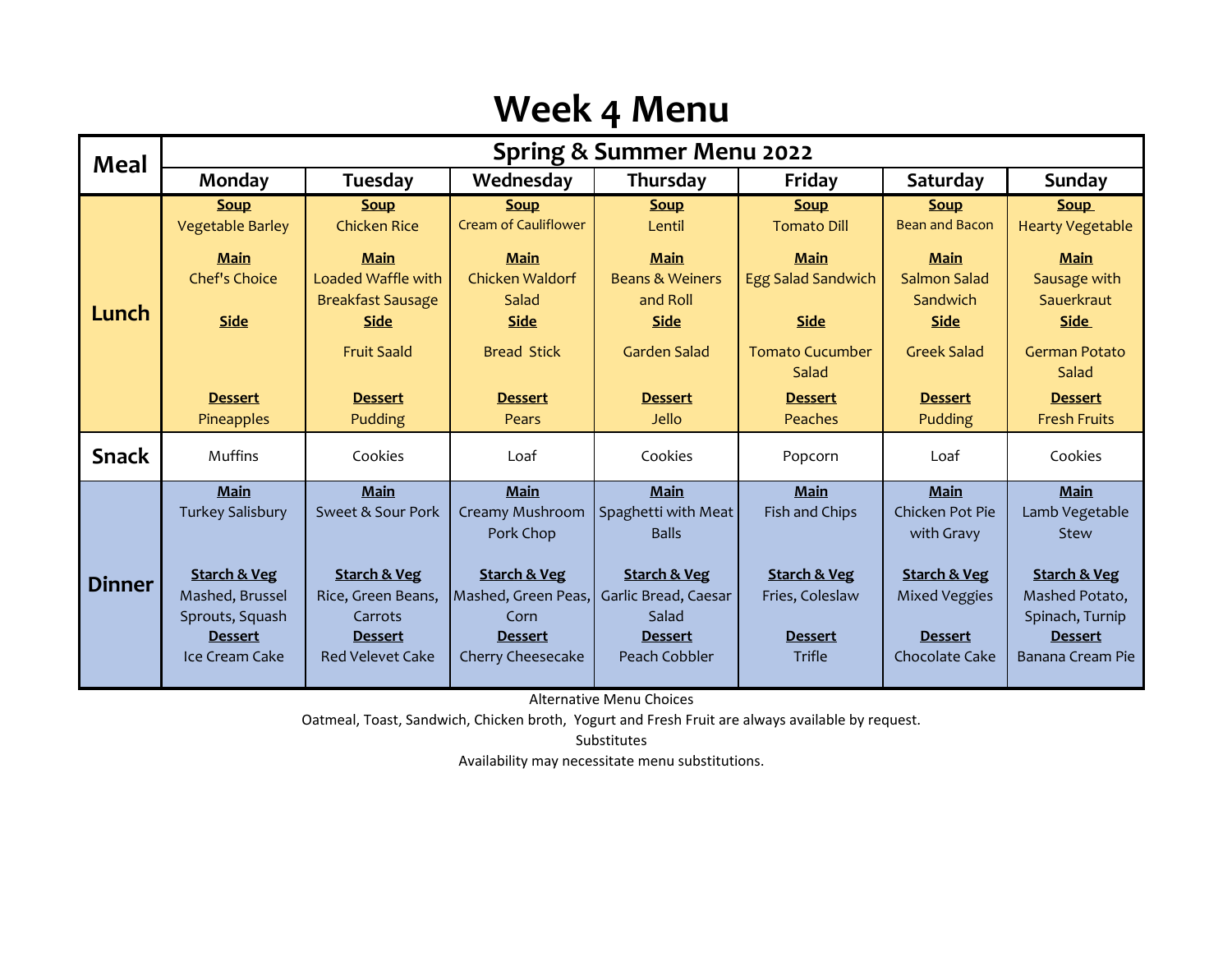# **Week 4 Menu**

| <b>Meal</b>   | <b>Spring &amp; Summer Menu 2022</b>   |                                    |                                            |                            |                                   |                                      |                                        |  |
|---------------|----------------------------------------|------------------------------------|--------------------------------------------|----------------------------|-----------------------------------|--------------------------------------|----------------------------------------|--|
|               | Monday                                 | Tuesday                            | Wednesday                                  | Thursday                   | Friday                            | Saturday                             | Sunday                                 |  |
|               | <b>Soup</b><br><b>Vegetable Barley</b> | <b>Soup</b><br><b>Chicken Rice</b> | <b>Soup</b><br><b>Cream of Cauliflower</b> | <b>Soup</b><br>Lentil      | <b>Soup</b><br><b>Tomato Dill</b> | <b>Soup</b><br><b>Bean and Bacon</b> | <b>Soup</b><br><b>Hearty Vegetable</b> |  |
|               | <b>Main</b>                            | <b>Main</b>                        | <b>Main</b>                                | <b>Main</b>                | <b>Main</b>                       | <b>Main</b>                          | <b>Main</b>                            |  |
|               | <b>Chef's Choice</b>                   | Loaded Waffle with                 | Chicken Waldorf                            | <b>Beans &amp; Weiners</b> | <b>Egg Salad Sandwich</b>         | <b>Salmon Salad</b>                  | Sausage with                           |  |
| Lunch         |                                        | <b>Breakfast Sausage</b>           | Salad                                      | and Roll                   |                                   | Sandwich                             | Sauerkraut                             |  |
|               | <b>Side</b>                            | <b>Side</b>                        | <b>Side</b>                                | <b>Side</b>                | <b>Side</b>                       | <b>Side</b>                          | <b>Side</b>                            |  |
|               |                                        | <b>Fruit Saald</b>                 | <b>Bread Stick</b>                         | <b>Garden Salad</b>        | <b>Tomato Cucumber</b><br>Salad   | <b>Greek Salad</b>                   | <b>German Potato</b><br>Salad          |  |
|               | <b>Dessert</b>                         | <b>Dessert</b>                     | <b>Dessert</b>                             | <b>Dessert</b>             | <b>Dessert</b>                    | <b>Dessert</b>                       | <b>Dessert</b>                         |  |
|               | <b>Pineapples</b>                      | Pudding                            | Pears                                      | Jello                      | Peaches                           | Pudding                              | <b>Fresh Fruits</b>                    |  |
| <b>Snack</b>  | <b>Muffins</b>                         | Cookies                            | Loaf                                       | Cookies                    | Popcorn                           | Loaf                                 | Cookies                                |  |
|               | Main                                   | Main                               | <b>Main</b>                                | Main                       | Main                              | Main                                 | <b>Main</b>                            |  |
|               | <b>Turkey Salisbury</b>                | Sweet & Sour Pork                  | Creamy Mushroom                            | Spaghetti with Meat        | Fish and Chips                    | Chicken Pot Pie                      | Lamb Vegetable                         |  |
|               |                                        |                                    | Pork Chop                                  | <b>Balls</b>               |                                   | with Gravy                           | Stew                                   |  |
| <b>Dinner</b> | <b>Starch &amp; Veg</b>                | <b>Starch &amp; Veg</b>            | <b>Starch &amp; Veg</b>                    | <b>Starch &amp; Veg</b>    | <b>Starch &amp; Veg</b>           | <b>Starch &amp; Veg</b>              | <b>Starch &amp; Veg</b>                |  |
|               | Mashed, Brussel                        | Rice, Green Beans,                 | Mashed, Green Peas,                        | Garlic Bread, Caesar       | Fries, Coleslaw                   | <b>Mixed Veggies</b>                 | Mashed Potato,                         |  |
|               | Sprouts, Squash                        | Carrots                            | Corn                                       | Salad                      |                                   |                                      | Spinach, Turnip                        |  |
|               | <b>Dessert</b>                         | <b>Dessert</b>                     | <b>Dessert</b>                             | <b>Dessert</b>             | <b>Dessert</b>                    | <b>Dessert</b>                       | <b>Dessert</b>                         |  |
|               | Ice Cream Cake                         | <b>Red Velevet Cake</b>            | Cherry Cheesecake                          | Peach Cobbler              | Trifle                            | Chocolate Cake                       | Banana Cream Pie                       |  |
|               |                                        |                                    |                                            |                            |                                   |                                      |                                        |  |

Alternative Menu Choices

Oatmeal, Toast, Sandwich, Chicken broth, Yogurt and Fresh Fruit are always available by request.

Substitutes